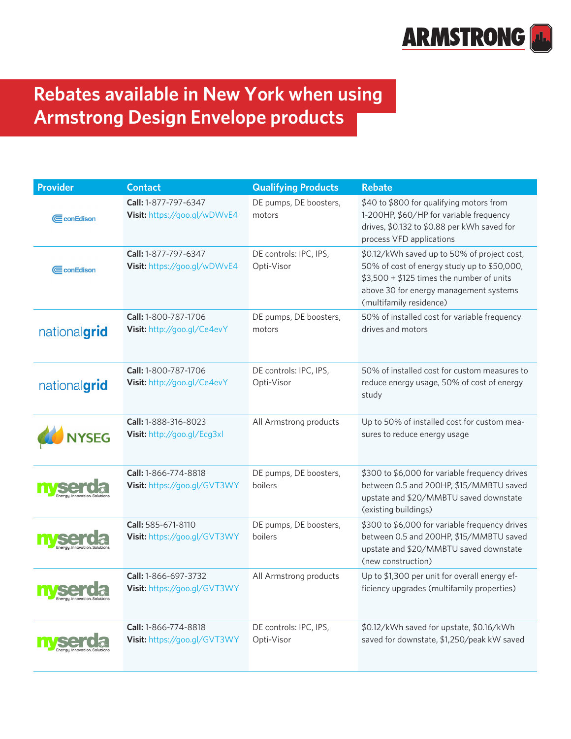

## **Rebates available in New York when using Armstrong Design Envelope products**

| <b>Provider</b>                | <b>Contact</b>                                       | <b>Qualifying Products</b>           | <b>Rebate</b>                                                                                                                                                                                                |
|--------------------------------|------------------------------------------------------|--------------------------------------|--------------------------------------------------------------------------------------------------------------------------------------------------------------------------------------------------------------|
| CconEdison                     | Call: 1-877-797-6347<br>Visit: https://goo.gl/wDWvE4 | DE pumps, DE boosters,<br>motors     | \$40 to \$800 for qualifying motors from<br>1-200HP, \$60/HP for variable frequency<br>drives, \$0.132 to \$0.88 per kWh saved for<br>process VFD applications                                               |
| CconEdison                     | Call: 1-877-797-6347<br>Visit: https://goo.gl/wDWvE4 | DE controls: IPC, IPS,<br>Opti-Visor | \$0.12/kWh saved up to 50% of project cost,<br>50% of cost of energy study up to \$50,000,<br>\$3,500 + \$125 times the number of units<br>above 30 for energy management systems<br>(multifamily residence) |
| nationalgrid                   | Call: 1-800-787-1706<br>Visit: http://goo.gl/Ce4evY  | DE pumps, DE boosters,<br>motors     | 50% of installed cost for variable frequency<br>drives and motors                                                                                                                                            |
| nationalgrid                   | Call: 1-800-787-1706<br>Visit: http://goo.gl/Ce4evY  | DE controls: IPC, IPS,<br>Opti-Visor | 50% of installed cost for custom measures to<br>reduce energy usage, 50% of cost of energy<br>study                                                                                                          |
| <b>YSEG</b>                    | Call: 1-888-316-8023<br>Visit: http://goo.gl/Ecg3xl  | All Armstrong products               | Up to 50% of installed cost for custom mea-<br>sures to reduce energy usage                                                                                                                                  |
|                                | Call: 1-866-774-8818<br>Visit: https://goo.gl/GVT3WY | DE pumps, DE boosters,<br>boilers    | \$300 to \$6,000 for variable frequency drives<br>between 0.5 and 200HP, \$15/MMBTU saved<br>upstate and \$20/MMBTU saved downstate<br>(existing buildings)                                                  |
|                                | Call: 585-671-8110<br>Visit: https://goo.gl/GVT3WY   | DE pumps, DE boosters,<br>boilers    | \$300 to \$6,000 for variable frequency drives<br>between 0.5 and 200HP, \$15/MMBTU saved<br>upstate and \$20/MMBTU saved downstate<br>(new construction)                                                    |
| Energy. Innovation. Solutions. | Call: 1-866-697-3732<br>Visit: https://goo.gl/GVT3WY | All Armstrong products               | Up to \$1,300 per unit for overall energy ef-<br>ficiency upgrades (multifamily properties)                                                                                                                  |
|                                | Call: 1-866-774-8818<br>Visit: https://goo.gl/GVT3WY | DE controls: IPC, IPS,<br>Opti-Visor | \$0.12/kWh saved for upstate, \$0.16/kWh<br>saved for downstate, \$1,250/peak kW saved                                                                                                                       |